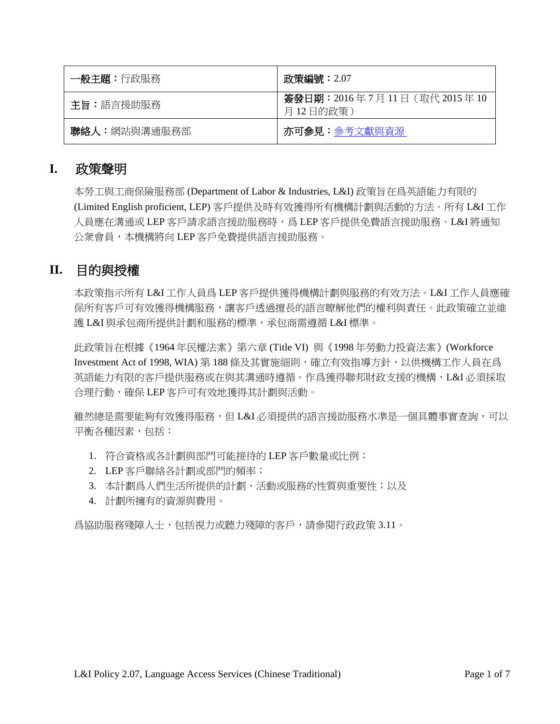| 一般主題:行政服務    | 政策編號:2.07                                |
|--------------|------------------------------------------|
| 主旨:語言援助服務    | 簽發日期: 2016年7月11日 (取代 2015年10<br>月12日的政策) |
| 聯絡人:網站與溝通服務部 | 亦可参見:參考文獻與資源                             |

## **I.** 政策聲明

本勞工與工商保險服務部 (Department of Labor & Industries, L&I) 政策旨在爲英語能力有限的 (Limited English proficient, LEP) 客戶提供及時有效獲得所有機構計劃與活動的方法。所有 L&I 工作 人員應在溝通或 LEP 客戶請求語言援助服務時,爲 LEP 客戶提供免費語言援助服務。L&I 將通知 公衆會員,本機構將向 LEP 客戶免費提供語言援助服務。

## **II.** 目的與授權

本政策指示所有 L&I 工作人員爲 LEP 客戶提供獲得機構計劃與服務的有效方法。L&I 工作人員應確 保所有客戶可有效獲得機構服務,讓客戶透過擅長的語言瞭解他們的權利與責任。此政策確立並維 護 L&I 與承包商所提供計劃和服務的標準,承包商需遵循 L&I 標準。

此政策旨在根據《1964 年民權法案》第六章 (Title VI) 與《1998 年勞動力投資法案》(Workforce Investment Act of 1998, WIA) 第 188 條及其實施細則,確立有效指導方針,以供機構工作人員在爲 英語能力有限的客戶提供服務或在與其溝通時遵循。作爲獲得聯邦財政支援的機構,L&I 必須採取 合理行動,確保 LEP 客戶可有效地獲得其計劃與活動。

雖然總是需要能夠有效獲得服務,但 L&I 必須提供的語言援助服務水準是一個具體事實查詢,可以 平衡各種因素,包括:

- 1. 符合資格或各計劃與部門可能接待的 LEP 客戶數量或比例;
- 2. LEP 客戶聯絡各計劃或部門的頻率;
- 3. 本計劃爲人們生活所提供的計劃、活動或服務的性質與重要性;以及
- 4. 計劃所擁有的資源與費用。

爲協助服務殘障人士,包括視力或聽力殘障的客戶,請參閱行政政策 3.11。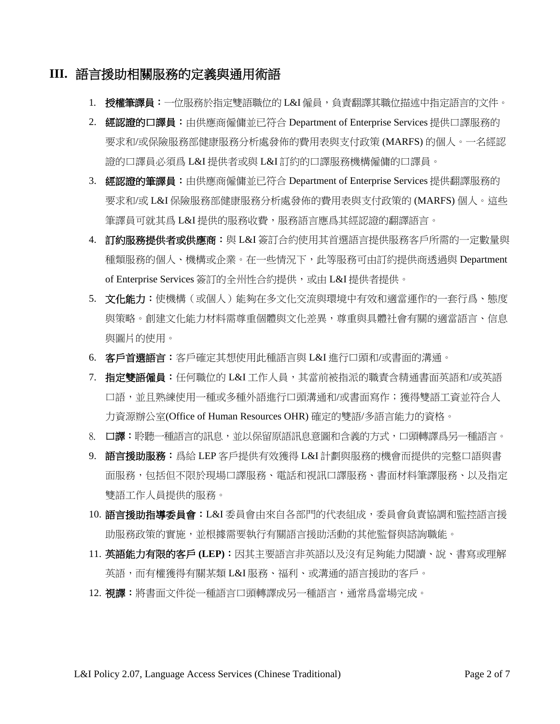## **III.** 語言援助相關服務的定義與通用術語

- 1. 授權筆譯員:一位服務於指定雙語職位的 L&I 僱員,負責翻譯其職位描述中指定語言的文件。
- 2. 經認證的口譯員:由供應商僱傭並已符合 Department of Enterprise Services 提供口譯服務的 要求和/或保險服務部健康服務分析處發佈的費用表與支付政策 (MARFS) 的個人。一名經認 證的口譯員必須爲 L&I 提供者或與 L&I 訂約的口譯服務機構僱傭的口譯員。
- 3. 經認證的筆譯員:由供應商僱傭並已符合 Department of Enterprise Services 提供翻譯服務的 要求和/或 L&I 保險服務部健康服務分析處發佈的費用表與支付政策的 (MARFS) 個人。這些 筆譯員可就其爲 L&I 提供的服務收費,服務語言應爲其經認證的翻譯語言。
- 4. 訂約服務提供者或供應商:與 L&I 簽訂合約使用其首選語言提供服務客戶所需的一定數量與 種類服務的個人、機構或企業。在一些情況下,此等服務可由訂約提供商透過與 Department of Enterprise Services 簽訂的全州性合約提供, 或由 L&I 提供者提供。
- 5. 文化能力:使機構(或個人)能夠在多文化交流與環境中有效和適當運作的一套行爲、態度 與策略。創建文化能力材料需尊重個體與文化差異,尊重與具體社會有關的適當語言、信息 與圖片的使用。
- 6. 客戶首選語言:客戶確定其想使用此種語言與 L&I 進行口頭和/或書面的溝通。
- 7. 指定雙語僱員:任何職位的 L&I 工作人員,其當前被指派的職責含精通書面英語和/或英語 口語,並且熟練使用一種或多種外語進行口頭溝通和/或書面寫作;獲得雙語工資並符合人 力資源辦公室(Office of Human Resources OHR) 確定的雙語/多語言能力的資格。
- 8. 口**譯:**聆聽一種語言的訊息,並以保留原語訊息意圖和含義的方式,口頭轉譯爲另一種語言。
- 9. 語言援助服務:爲給 LEP 客戶提供有效獲得 L&I 計劃與服務的機會而提供的完整口語與書 面服務,包括但不限於現場口譯服務、電話和視訊口譯服務、書面材料筆譯服務、以及指定 雙語工作人員提供的服務。
- 10. **語言援助指導委員會: L&I** 委員會由來自各部門的代表組成, 委員會負責協調和監控語言援 助服務政策的實施,並根據需要執行有關語言援助活動的其他監督與諮詢職能。
- 11. 英語能力有限的客戶 (LEP): 因其主要語言非英語以及沒有足夠能力閱讀、說、書寫或理解 英語,而有權獲得有關某類 L&I 服務、福利、或溝通的語言援助的客戶。
- 12. 視譯:將書面文件從一種語言口頭轉譯成另一種語言,通常爲當場完成。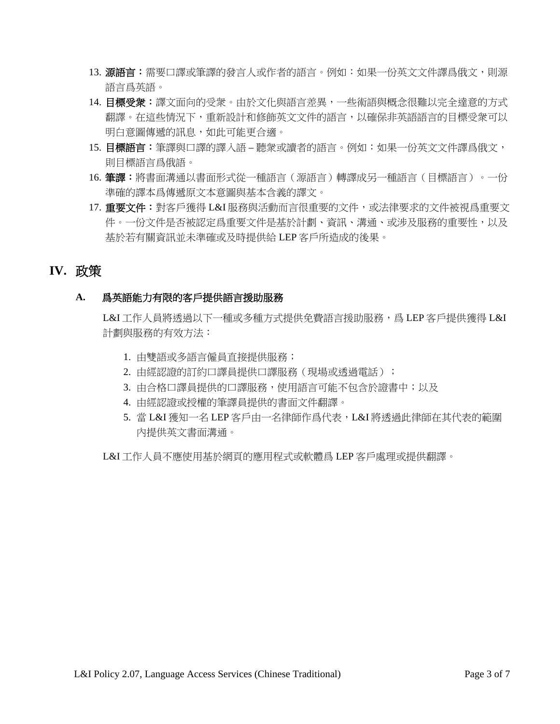- 13. **源語言:**需要口譯或筆譯的發言人或作者的語言。例如:如果一份英文文件譯爲俄文,則源 語言爲英語。
- 14. 目標受衆:譯文面向的受衆。由於文化與語言差異,一些術語與概念很難以完全達意的方式 翻譯。在這些情況下,重新設計和修飾英文文件的語言,以確保非英語語言的目標受衆可以 明白意圖傳遞的訊息,如此可能更合適。
- 15. 目標語言:筆譯與口譯的譯入語 聽衆或讀者的語言。例如:如果一份英文文件譯爲俄文, 則目標語言爲俄語。
- 16. 筆譯:將書面溝通以書面形式從一種語言(源語言)轉譯成另一種語言(目標語言)。一份 準確的譯本爲傳遞原文本意圖與基本含義的譯文。
- 17. 重要文件:對客戶獲得 L&I 服務與活動而言很重要的文件,或法律要求的文件被視爲重要文 件。一份文件是否被認定爲重要文件是基於計劃、資訊、溝通、或涉及服務的重要性,以及 基於若有關資訊並未準確或及時提供給 LEP 客戶所造成的後果。

## **IV.** 政策

### **A.** 爲英語能力有限的客戶提供語言援助服務

L&I 工作人員將透過以下一種或多種方式提供免費語言援助服務,爲 LEP 客戶提供獲得 L&I 計劃與服務的有效方法:

- 1. 由雙語或多語言僱員直接提供服務;
- 2. 由經認證的訂約口譯員提供口譯服務(現場或透過電話);
- 3. 由合格口譯員提供的口譯服務,使用語言可能不包含於證書中;以及
- 4. 由經認證或授權的筆譯員提供的書面文件翻譯。
- 5. 當 L&I 獲知一名 LEP 客戶由一名律師作爲代表, L&I 將透過此律師在其代表的範圍 內提供英文書面溝通。

L&I 工作人員不應使用基於網頁的應用程式或軟體爲 LEP 客戶處理或提供翻譯。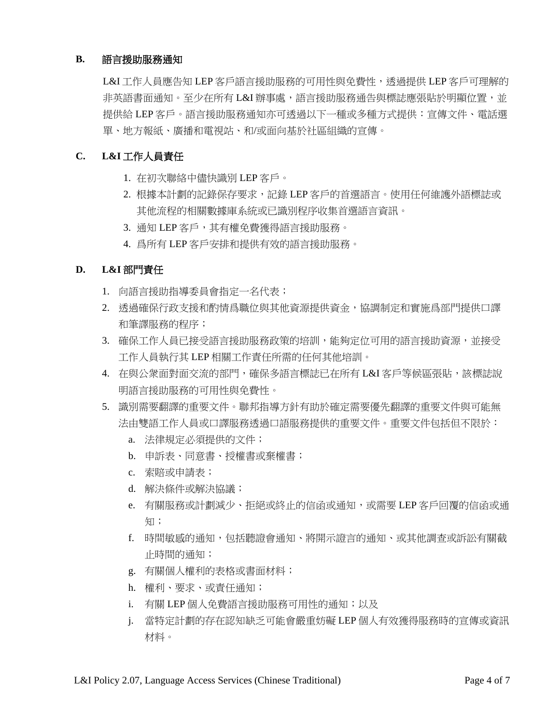#### **B.** 語言援助服務通知

L&I 工作人員應告知 LEP 客戶語言援助服務的可用性與免費性,透過提供 LEP 客戶可理解的 非英語書面通知。至少在所有 L&I 辦事處, 語言援助服務通告與標誌應張貼於明顯位置, 並 提供給 LEP 客戶。語言援助服務通知亦可透過以下一種或多種方式提供:宣傳文件、電話選 單、地方報紙、廣播和電視站、和/或面向基於社區組織的宣傳。

### **C. L&I** 工作人員責任

- 1. 在初次聯絡中儘快識別 LEP 客戶。
- 2. 根據本計劃的記錄保存要求,記錄 LEP 客戶的首選語言。使用任何維護外語標誌或 其他流程的相關數據庫系統或已識別程序收集首選語言資訊。
- 3. 通知 LEP 客戶,其有權免費獲得語言援助服務。
- 4. 爲所有 LEP 客戶安排和提供有效的語言援助服務。

#### **D. L&I** 部門責任

- 1. 向語言援助指導委員會指定一名代表;
- 2. 透過確保行政支援和酌情爲職位與其他資源提供資金,協調制定和實施爲部門提供口譯 和筆譯服務的程序;
- 3. 確保工作人員已接受語言援助服務政策的培訓,能夠定位可用的語言援助資源,並接受 工作人員執行其 LEP 相關工作責任所需的任何其他培訓。
- 4. 在與公衆面對面交流的部門,確保多語言標誌已在所有 L&I 客戶等候區張貼,該標誌說 明語言援助服務的可用性與免費性。
- 5. 識別需要翻譯的重要文件。聯邦指導方針有助於確定需要優先翻譯的重要文件與可能無 法由雙語工作人員或口譯服務透過口語服務提供的重要文件。重要文件包括但不限於:
	- a. 法律規定必須提供的文件;
	- b. 申訴表、同意書、授權書或棄權書;
	- c. 索賠或申請表;
	- d. 解決條件或解決協議;
	- e. 有關服務或計劃減少、拒絕或終止的信函或通知,或需要 LEP 客戶回覆的信函或通 知;
	- f. 時間敏感的通知,包括聽證會通知、將開示證言的通知、或其他調查或訴訟有關截 止時間的通知;
	- g. 有關個人權利的表格或書面材料;
	- h. 權利、要求、或責任通知;
	- i. 有關 LEP 個人免費語言援助服務可用性的通知;以及
	- j. 當特定計劃的存在認知缺乏可能會嚴重妨礙 LEP 個人有效獲得服務時的宣傳或資訊 材料。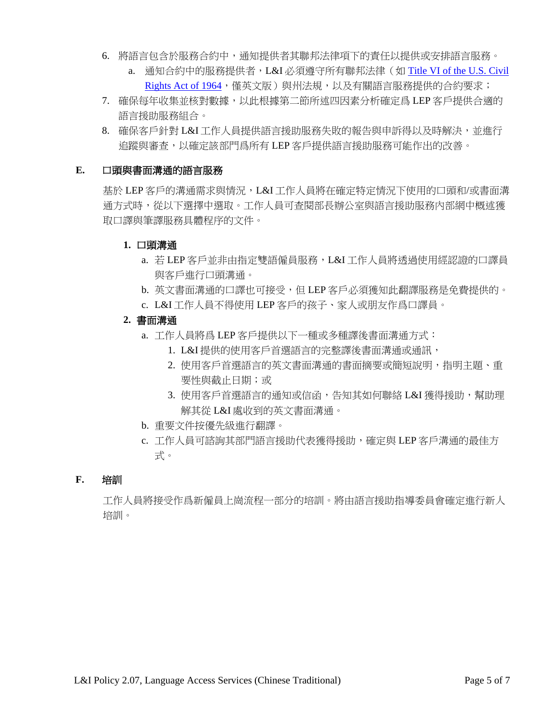- 6. 將語言包含於服務合約中,通知提供者其聯邦法律項下的責任以提供或安排語言服務。
	- a. 通知合約中的服務提供者,L&I 必須遵守所有聯邦法律(如 Title VI of the U.S. Civil [Rights Act of 1964](http://www.gpo.gov/fdsys/pkg/USCODE-2008-title42/html/USCODE-2008-title42-chap21-subchapV.htm), 僅英文版)與州法規,以及有關語言服務提供的合約要求;
- 7. 確保每年收集並核對數據,以此根據第二節所述四因素分析確定爲 LEP 客戶提供合適的 語言援助服務組合。
- 8. 確保客戶針對 L&I 工作人員提供語言援助服務失敗的報告與申訴得以及時解決,並進行 追蹤與審查,以確定該部門爲所有 LEP 客戶提供語言援助服務可能作出的改善。

#### **E.** 口頭與書面溝通的語言服務

基於 LEP 客戶的溝通需求與情況,L&I 工作人員將在確定特定情況下使用的口頭和/或書面溝 通方式時,從以下選擇中選取。工作人員可查閱部長辦公室與語言援助服務內部網中概述獲 取口譯與筆譯服務具體程序的文件。

#### **1.** 口頭溝通

- a. 若 LEP 客戶並非由指定雙語僱員服務,L&I 工作人員將透過使用經認證的口譯員 與客戶進行口頭溝通。
- b. 英文書面溝通的口譯也可接受,但 LEP 客戶必須獲知此翻譯服務是免費提供的。
- c. L&I 工作人員不得使用 LEP 客戶的孩子、家人或朋友作爲口譯員。
- **2.** 書面溝通
	- a. 工作人員將爲 LEP 客戶提供以下一種或多種譯後書面溝通方式:
		- 1. L&I 提供的使用客戶首選語言的完整譯後書面溝通或通訊,
		- 2. 使用客戶首選語言的英文書面溝通的書面摘要或簡短說明,指明主題、重 要性與截止日期;或
		- 3. 使用客戶首選語言的通知或信函,告知其如何聯絡 L&I 獲得援助,幫助理 解其從 L&I 處收到的英文書面溝通。
	- b. 重要文件按優先級進行翻譯。
	- c. 工作人員可諮詢其部門語言援助代表獲得援助,確定與 LEP 客戶溝通的最佳方 式。

#### **F.** 培訓

工作人員將接受作爲新僱員上崗流程一部分的培訓。將由語言援助指導委員會確定進行新人 培訓。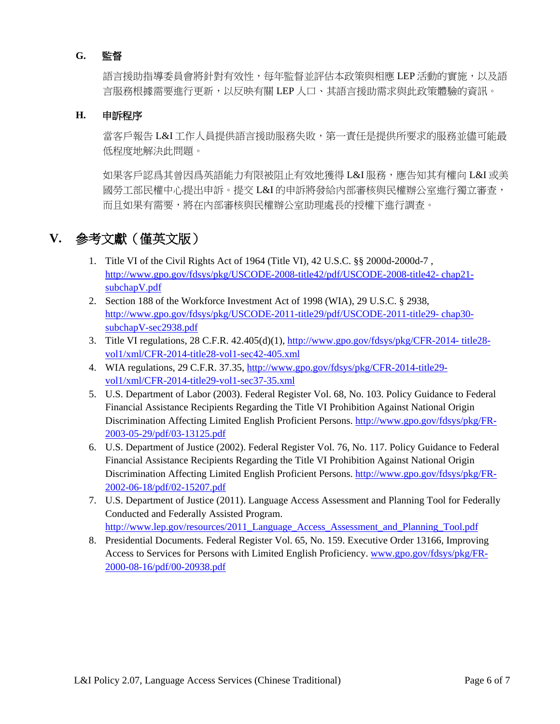### **G.** 監督

語言援助指導委員會將針對有效性,每年監督並評估本政策與相應 LEP 活動的實施,以及語 言服務根據需要進行更新,以反映有關 LEP 人口、其語言援助需求與此政策體驗的資訊。

#### **H.** 申訴程序

當客戶報告 L&I 工作人員提供語言援助服務失敗,第一責任是提供所要求的服務並儘可能最 低程度地解決此問題。

如果客戶認爲其曾因爲英語能力有限被阻止有效地獲得 L&I 服務,應告知其有權向 L&I 或美 國勞工部民權中心提出申訴。提交 L&I 的申訴將發給內部審核與民權辦公室進行獨立審查, 而且如果有需要,將在內部審核與民權辦公室助理處長的授權下進行調查。

## <span id="page-5-0"></span>**V.** 參考文獻(僅英文版)

- 1. Title VI of the Civil Rights Act of 1964 (Title VI), 42 U.S.C. §§ 2000d-2000d-7 , [http://www.gpo.gov/fdsys/pkg/USCODE-2008-title42/pdf/USCODE-2008-title42-](http://www.gpo.gov/fdsys/pkg/USCODE-2008-title42/pdf/USCODE-2008-title42-%20chap21-subchapV.pdf) chap21 [subchapV.pdf](http://www.gpo.gov/fdsys/pkg/USCODE-2008-title42/pdf/USCODE-2008-title42-%20chap21-subchapV.pdf)
- 2. Section 188 of the Workforce Investment Act of 1998 (WIA), 29 U.S.C. § 2938, [http://www.gpo.gov/fdsys/pkg/USCODE-2011-title29/pdf/USCODE-2011-title29-](http://www.gpo.gov/fdsys/pkg/USCODE-2011-title29/pdf/USCODE-2011-title29-%20chap30-subchapV-sec2938.pdf) chap30 [subchapV-sec2938.pdf](http://www.gpo.gov/fdsys/pkg/USCODE-2011-title29/pdf/USCODE-2011-title29-%20chap30-subchapV-sec2938.pdf)
- 3. Title VI regulations, 28 C.F.R. 42.405(d)(1), [http://www.gpo.gov/fdsys/pkg/CFR-2014-](http://www.gpo.gov/fdsys/pkg/CFR-2014-%20title28-vol1/xml/CFR-2014-title28-vol1-sec42-405.xml) title28 [vol1/xml/CFR-2014-title28-vol1-sec42-405.xml](http://www.gpo.gov/fdsys/pkg/CFR-2014-%20title28-vol1/xml/CFR-2014-title28-vol1-sec42-405.xml)
- 4. WIA regulations, 29 C.F.R. 37.35, [http://www.gpo.gov/fdsys/pkg/CFR-2014-title29](http://www.gpo.gov/fdsys/pkg/CFR-2014-title29-%20vol1/xml/CFR-2014-title29-vol1-sec37-35.xml) [vol1/xml/CFR-2014-title29-vol1-sec37-35.xml](http://www.gpo.gov/fdsys/pkg/CFR-2014-title29-%20vol1/xml/CFR-2014-title29-vol1-sec37-35.xml)
- 5. U.S. Department of Labor (2003). Federal Register Vol. 68, No. 103. Policy Guidance to Federal Financial Assistance Recipients Regarding the Title VI Prohibition Against National Origin Discrimination Affecting Limited English Proficient Persons. [http://www.gpo.gov/fdsys/pkg/FR-](http://www.gpo.gov/fdsys/pkg/FR-2003-05-29/pdf/03-13125.pdf)[2003-05-29/pdf/03-13125.pdf](http://www.gpo.gov/fdsys/pkg/FR-2003-05-29/pdf/03-13125.pdf)
- 6. U.S. Department of Justice (2002). Federal Register Vol. 76, No. 117. Policy Guidance to Federal Financial Assistance Recipients Regarding the Title VI Prohibition Against National Origin Discrimination Affecting Limited English Proficient Persons. [http://www.gpo.gov/fdsys/pkg/FR-](http://www.gpo.gov/fdsys/pkg/FR-2002-06-18/pdf/02-15207.pdf)[2002-06-18/pdf/02-15207.pdf](http://www.gpo.gov/fdsys/pkg/FR-2002-06-18/pdf/02-15207.pdf)
- 7. U.S. Department of Justice (2011). Language Access Assessment and Planning Tool for Federally Conducted and Federally Assisted Program. [http://www.lep.gov/resources/2011\\_Language\\_Access\\_Assessment\\_and\\_Planning\\_Tool.pdf](http://www.lep.gov/resources/2011_Language_Access_Assessment_and_Planning_Tool.pdf)
- 8. Presidential Documents. Federal Register Vol. 65, No. 159. Executive Order 13166, Improving Access to Services for Persons with Limited English Proficiency. [www.gpo.gov/fdsys/pkg/FR-](http://www.gpo.gov/fdsys/pkg/FR-2000-08-16/pdf/00-20938.pdf)[2000-08-16/pdf/00-20938.pdf](http://www.gpo.gov/fdsys/pkg/FR-2000-08-16/pdf/00-20938.pdf)